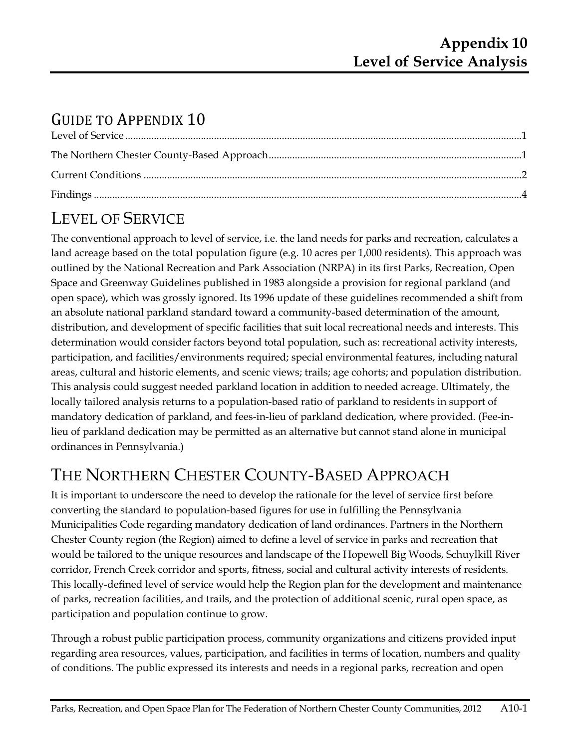# GUIDE TO APPENDIX 10

# LEVEL OF SERVICE

The conventional approach to level of service, i.e. the land needs for parks and recreation, calculates a land acreage based on the total population figure (e.g. 10 acres per 1,000 residents). This approach was outlined by the National Recreation and Park Association (NRPA) in its first Parks, Recreation, Open Space and Greenway Guidelines published in 1983 alongside a provision for regional parkland (and open space), which was grossly ignored. Its 1996 update of these guidelines recommended a shift from an absolute national parkland standard toward a community-based determination of the amount, distribution, and development of specific facilities that suit local recreational needs and interests. This determination would consider factors beyond total population, such as: recreational activity interests, participation, and facilities/environments required; special environmental features, including natural areas, cultural and historic elements, and scenic views; trails; age cohorts; and population distribution. This analysis could suggest needed parkland location in addition to needed acreage. Ultimately, the locally tailored analysis returns to a population-based ratio of parkland to residents in support of mandatory dedication of parkland, and fees-in-lieu of parkland dedication, where provided. (Fee-inlieu of parkland dedication may be permitted as an alternative but cannot stand alone in municipal ordinances in Pennsylvania.)

## THE NORTHERN CHESTER COUNTY-BASED APPROACH

It is important to underscore the need to develop the rationale for the level of service first before converting the standard to population-based figures for use in fulfilling the Pennsylvania Municipalities Code regarding mandatory dedication of land ordinances. Partners in the Northern Chester County region (the Region) aimed to define a level of service in parks and recreation that would be tailored to the unique resources and landscape of the Hopewell Big Woods, Schuylkill River corridor, French Creek corridor and sports, fitness, social and cultural activity interests of residents. This locally-defined level of service would help the Region plan for the development and maintenance of parks, recreation facilities, and trails, and the protection of additional scenic, rural open space, as participation and population continue to grow.

Through a robust public participation process, community organizations and citizens provided input regarding area resources, values, participation, and facilities in terms of location, numbers and quality of conditions. The public expressed its interests and needs in a regional parks, recreation and open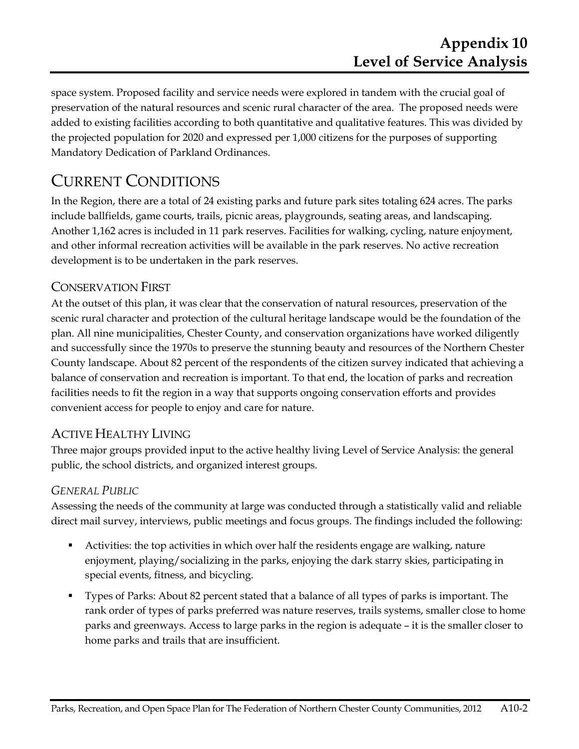space system. Proposed facility and service needs were explored in tandem with the crucial goal of preservation of the natural resources and scenic rural character of the area. The proposed needs were added to existing facilities according to both quantitative and qualitative features. This was divided by the projected population for 2020 and expressed per 1,000 citizens for the purposes of supporting Mandatory Dedication of Parkland Ordinances.

### CURRENT CONDITIONS

In the Region, there are a total of 24 existing parks and future park sites totaling 624 acres. The parks include ballfields, game courts, trails, picnic areas, playgrounds, seating areas, and landscaping. Another 1,162 acres is included in 11 park reserves. Facilities for walking, cycling, nature enjoyment, and other informal recreation activities will be available in the park reserves. No active recreation development is to be undertaken in the park reserves.

### CONSERVATION FIRST

At the outset of this plan, it was clear that the conservation of natural resources, preservation of the scenic rural character and protection of the cultural heritage landscape would be the foundation of the plan. All nine municipalities, Chester County, and conservation organizations have worked diligently and successfully since the 1970s to preserve the stunning beauty and resources of the Northern Chester County landscape. About 82 percent of the respondents of the citizen survey indicated that achieving a balance of conservation and recreation is important. To that end, the location of parks and recreation facilities needs to fit the region in a way that supports ongoing conservation efforts and provides convenient access for people to enjoy and care for nature.

### ACTIVE HEALTHY LIVING

Three major groups provided input to the active healthy living Level of Service Analysis: the general public, the school districts, and organized interest groups.

#### *GENERAL PUBLIC*

Assessing the needs of the community at large was conducted through a statistically valid and reliable direct mail survey, interviews, public meetings and focus groups. The findings included the following:

- Activities: the top activities in which over half the residents engage are walking, nature enjoyment, playing/socializing in the parks, enjoying the dark starry skies, participating in special events, fitness, and bicycling.
- Types of Parks: About 82 percent stated that a balance of all types of parks is important. The rank order of types of parks preferred was nature reserves, trails systems, smaller close to home parks and greenways. Access to large parks in the region is adequate – it is the smaller closer to home parks and trails that are insufficient.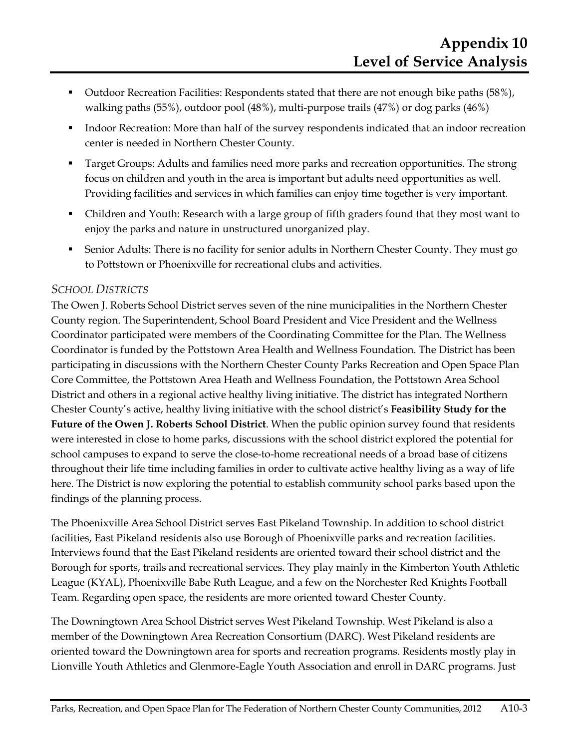- Outdoor Recreation Facilities: Respondents stated that there are not enough bike paths (58%), walking paths (55%), outdoor pool (48%), multi-purpose trails (47%) or dog parks (46%)
- **I.** Indoor Recreation: More than half of the survey respondents indicated that an indoor recreation center is needed in Northern Chester County.
- Target Groups: Adults and families need more parks and recreation opportunities. The strong focus on children and youth in the area is important but adults need opportunities as well. Providing facilities and services in which families can enjoy time together is very important.
- Children and Youth: Research with a large group of fifth graders found that they most want to enjoy the parks and nature in unstructured unorganized play.
- Senior Adults: There is no facility for senior adults in Northern Chester County. They must go to Pottstown or Phoenixville for recreational clubs and activities.

#### *SCHOOL DISTRICTS*

The Owen J. Roberts School District serves seven of the nine municipalities in the Northern Chester County region. The Superintendent, School Board President and Vice President and the Wellness Coordinator participated were members of the Coordinating Committee for the Plan. The Wellness Coordinator is funded by the Pottstown Area Health and Wellness Foundation. The District has been participating in discussions with the Northern Chester County Parks Recreation and Open Space Plan Core Committee, the Pottstown Area Heath and Wellness Foundation, the Pottstown Area School District and others in a regional active healthy living initiative. The district has integrated Northern Chester County's active, healthy living initiative with the school district's **Feasibility Study for the Future of the Owen J. Roberts School District**. When the public opinion survey found that residents were interested in close to home parks, discussions with the school district explored the potential for school campuses to expand to serve the close-to-home recreational needs of a broad base of citizens throughout their life time including families in order to cultivate active healthy living as a way of life here. The District is now exploring the potential to establish community school parks based upon the findings of the planning process.

The Phoenixville Area School District serves East Pikeland Township. In addition to school district facilities, East Pikeland residents also use Borough of Phoenixville parks and recreation facilities. Interviews found that the East Pikeland residents are oriented toward their school district and the Borough for sports, trails and recreational services. They play mainly in the Kimberton Youth Athletic League (KYAL), Phoenixville Babe Ruth League, and a few on the Norchester Red Knights Football Team. Regarding open space, the residents are more oriented toward Chester County.

The Downingtown Area School District serves West Pikeland Township. West Pikeland is also a member of the Downingtown Area Recreation Consortium (DARC). West Pikeland residents are oriented toward the Downingtown area for sports and recreation programs. Residents mostly play in Lionville Youth Athletics and Glenmore-Eagle Youth Association and enroll in DARC programs. Just